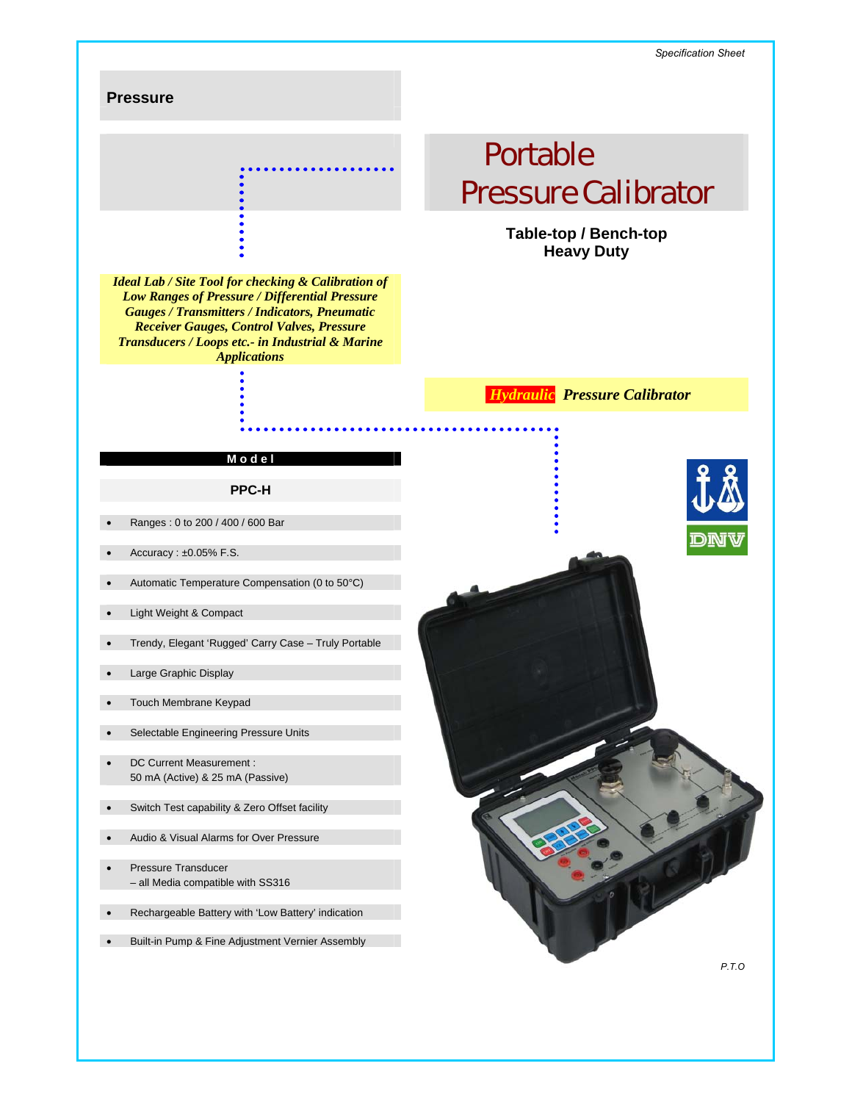